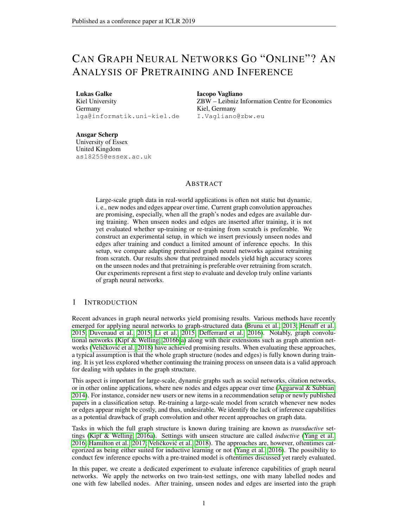# CAN GRAPH NEURAL NETWORKS GO "ONLINE"? AN ANALYSIS OF PRETRAINING AND INFERENCE

#### Lukas Galke

Kiel University Germany lga@informatik.uni-kiel.de Iacopo Vagliano ZBW – Leibniz Information Centre for Economics Kiel, Germany I.Vagliano@zbw.eu

Ansgar Scherp University of Essex United Kingdom as18255@essex.ac.uk

# ABSTRACT

Large-scale graph data in real-world applications is often not static but dynamic, i. e., new nodes and edges appear over time. Current graph convolution approaches are promising, especially, when all the graph's nodes and edges are available during training. When unseen nodes and edges are inserted after training, it is not yet evaluated whether up-training or re-training from scratch is preferable. We construct an experimental setup, in which we insert previously unseen nodes and edges after training and conduct a limited amount of inference epochs. In this setup, we compare adapting pretrained graph neural networks against retraining from scratch. Our results show that pretrained models yield high accuracy scores on the unseen nodes and that pretraining is preferable over retraining from scratch. Our experiments represent a first step to evaluate and develop truly online variants of graph neural networks.

# 1 INTRODUCTION

Recent advances in graph neural networks yield promising results. Various methods have recently emerged for applying neural networks to graph-structured data [\(Bruna et al., 2013;](#page-4-0) [Henaff et al.,](#page-4-1) [2015;](#page-4-1) [Duvenaud et al., 2015;](#page-4-2) [Li et al., 2015;](#page-4-3) [Defferrard et al., 2016\)](#page-4-4). Notably, graph convolutional networks [\(Kipf & Welling, 2016b;](#page-4-5)[a\)](#page-4-6) along with their extensions such as graph attention net-works (Veličković et al., [2018\)](#page-4-7) have achieved promising results. When evaluating these approaches, a typical assumption is that the whole graph structure (nodes and edges) is fully known during training. It is yet less explored whether continuing the training process on unseen data is a valid approach for dealing with updates in the graph structure.

This aspect is important for large-scale, dynamic graphs such as social networks, citation networks, or in other online applications, where new nodes and edges appear over time (Aggarwal  $\&$  Subbian, [2014\)](#page-4-8). For instance, consider new users or new items in a recommendation setup or newly published papers in a classification setup. Re-training a large-scale model from scratch whenever new nodes or edges appear might be costly, and thus, undesirable. We identify the lack of inference capabilities as a potential drawback of graph convolution and other recent approaches on graph data.

Tasks in which the full graph structure is known during training are known as *transductive* settings [\(Kipf & Welling, 2016a\)](#page-4-6). Settings with unseen structure are called *inductive* [\(Yang et al.,](#page-4-9)  $2016$ ; Hamilton et al.,  $2017$ ; Veličković et al.,  $2018$ ). The approaches are, however, oftentimes categorized as being either suited for inductive learning or not [\(Yang et al., 2016\)](#page-4-9). The possibility to conduct few inference epochs with a pre-trained model is oftentimes discussed yet rarely evaluated.

In this paper, we create a dedicated experiment to evaluate inference capabilities of graph neural networks. We apply the networks on two train-test settings, one with many labelled nodes and one with few labelled nodes. After training, unseen nodes and edges are inserted into the graph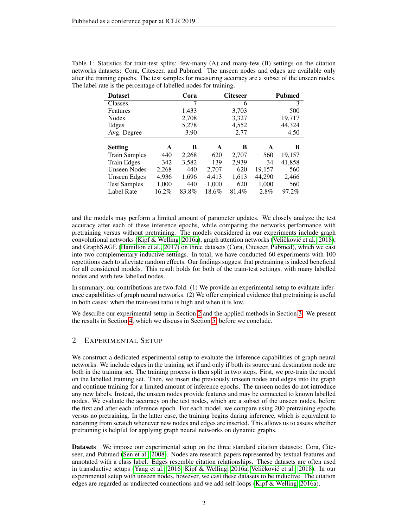| <b>Dataset</b>       |          | Cora  |       | <b>Citeseer</b> |        | Pubmed |
|----------------------|----------|-------|-------|-----------------|--------|--------|
| <b>Classes</b>       |          |       |       | 6               |        | 3      |
| Features             |          | 1,433 |       | 3,703           |        | 500    |
| <b>Nodes</b>         |          | 2,708 |       | 3,327           |        | 19,717 |
| Edges                |          | 5,278 |       | 4,552           |        | 44,324 |
| Avg. Degree          |          | 3.90  |       | 2.77            |        | 4.50   |
|                      |          |       |       |                 |        |        |
| <b>Setting</b>       | A        | B     | A     | В               | A      | B      |
| <b>Train Samples</b> | 440      | 2,268 | 620   | 2,707           | 560    | 19,157 |
| <b>Train Edges</b>   | 342      | 3,582 | 139   | 2,939           | 34     | 41,858 |
| Unseen Nodes         | 2,268    | 440   | 2,707 | 620             | 19,157 | 560    |
| Unseen Edges         | 4,936    | 1,696 | 4,413 | 1,613           | 44,290 | 2,466  |
| <b>Test Samples</b>  | 1,000    | 440   | 1,000 | 620             | 1,000  | 560    |
| Label Rate           | $16.2\%$ | 83.8% | 18.6% | 81.4%           | 2.8%   | 97.2%  |

<span id="page-1-1"></span>Table 1: Statistics for train-test splits: few-many (A) and many-few (B) settings on the citation networks datasets: Cora, Citeseer, and Pubmed. The unseen nodes and edges are available only after the training epochs. The test samples for measuring accuracy are a subset of the unseen nodes. The label rate is the percentage of labelled nodes for training.

and the models may perform a limited amount of parameter updates. We closely analyze the test accuracy after each of these inference epochs, while comparing the networks performance with pretraining versus without pretraining. The models considered in our experiments include graph convolutional networks [\(Kipf & Welling, 2016a\)](#page-4-6), graph attention networks (Veličković et al., [2018\)](#page-4-7), and GraphSAGE [\(Hamilton et al., 2017\)](#page-4-10) on three datasets (Cora, Citeseer, Pubmed), which we cast into two complementary inductive settings. In total, we have conducted 60 experiments with 100 repetitions each to alleviate random effects. Our findings suggest that pretraining is indeed beneficial for all considered models. This result holds for both of the train-test settings, with many labelled nodes and with few labelled nodes.

In summary, our contributions are two-fold: (1) We provide an experimental setup to evaluate inference capabilities of graph neural networks. (2) We offer empirical evidence that pretraining is useful in both cases: when the train-test ratio is high and when it is low.

We describe our experimental setup in Section [2](#page-1-0) and the applied methods in Section [3.](#page-2-0) We present the results in Section [4,](#page-2-1) which we discuss in Section [5,](#page-3-0) before we conclude.

# <span id="page-1-0"></span>2 EXPERIMENTAL SETUP

We construct a dedicated experimental setup to evaluate the inference capabilities of graph neural networks. We include edges in the training set if and only if both its source and destination node are both in the training set. The training process is then split in two steps. First, we pre-train the model on the labelled training set. Then, we insert the previously unseen nodes and edges into the graph and continue training for a limited amount of inference epochs. The unseen nodes do not introduce any new labels. Instead, the unseen nodes provide features and may be connected to known labelled nodes. We evaluate the accuracy on the test nodes, which are a subset of the unseen nodes, before the first and after each inference epoch. For each model, we compare using 200 pretraining epochs versus no pretraining. In the latter case, the training begins during inference, which is equivalent to retraining from scratch whenever new nodes and edges are inserted. This allows us to assess whether pretraining is helpful for applying graph neural networks on dynamic graphs.

Datasets We impose our experimental setup on the three standard citation datasets: Cora, Citeseer, and Pubmed [\(Sen et al., 2008\)](#page-4-11). Nodes are research papers represented by textual features and annotated with a class label. Edges resemble citation relationships. These datasets are often used in transductive setups [\(Yang et al., 2016;](#page-4-9) [Kipf & Welling, 2016a;](#page-4-6) Veličković et al., [2018\)](#page-4-7). In our experimental setup with unseen nodes, however, we cast these datasets to be inductive. The citation edges are regarded as undirected connections and we add self-loops [\(Kipf & Welling, 2016a\)](#page-4-6).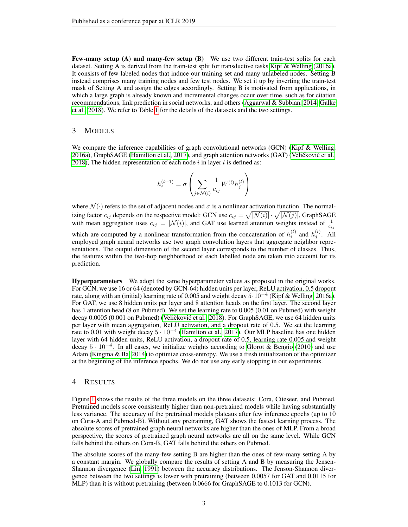Few-many setup (A) and many-few setup (B) We use two different train-test splits for each dataset. Setting A is derived from the train-test split for transductive tasks [Kipf & Welling](#page-4-6) [\(2016a\)](#page-4-6). It consists of few labeled nodes that induce our training set and many unlabeled nodes. Setting B instead comprises many training nodes and few test nodes. We set it up by inverting the train-test mask of Setting A and assign the edges accordingly. Setting B is motivated from applications, in which a large graph is already known and incremental changes occur over time, such as for citation recommendations, link prediction in social networks, and others [\(Aggarwal & Subbian, 2014;](#page-4-8) [Galke](#page-4-12) [et al., 2018\)](#page-4-12). We refer to Table [1](#page-1-1) for the details of the datasets and the two settings.

### <span id="page-2-0"></span>3 MODELS

We compare the inference capabilities of graph convolutional networks (GCN) [\(Kipf & Welling,](#page-4-6) [2016a\)](#page-4-6), GraphSAGE [\(Hamilton et al., 2017\)](#page-4-10), and graph attention networks (GAT) (Veličković et al., [2018\)](#page-4-7), The hidden representation of each node  $i$  in layer  $l$  is defined as:

$$
h_i^{(l+1)} = \sigma \left( \sum_{j \in \mathcal{N}(i)} \frac{1}{c_{ij}} W^{(l)} h_j^{(l)} \right)
$$

where  $\mathcal{N}(\cdot)$  refers to the set of adjacent nodes and  $\sigma$  is a nonlinear activation function. The normalizing factor  $c_{ij}$  depends on the respective model: GCN use  $c_{ij} = \sqrt{|{\cal N}(i)|} \cdot \sqrt{|{\cal N}(j)|}$ , GraphSAGE with mean aggregation uses  $c_{ij} = |\mathcal{N}(i)|$ , and GAT use learned attention weights instead of  $\frac{1}{c_{ij}}$ which are computed by a nonlinear transformation from the concatenation of  $h_i^{(l)}$  and  $h_j^{(l)}$ . All employed graph neural networks use two graph convolution layers that aggregate neighbor representations. The output dimension of the second layer corresponds to the number of classes. Thus, the features within the two-hop neighborhood of each labelled node are taken into account for its prediction.

Hyperparameters We adopt the same hyperparameter values as proposed in the original works. For GCN, we use 16 or 64 (denoted by GCN-64) hidden units per layer, ReLU activation, 0.5 dropout rate, along with an (initial) learning rate of 0.005 and weight decay 5·10<sup>−</sup><sup>4</sup> [\(Kipf & Welling, 2016a\)](#page-4-6). For GAT, we use 8 hidden units per layer and 8 attention heads on the first layer. The second layer has 1 attention head (8 on Pubmed). We set the learning rate to 0.005 (0.01 on Pubmed) with weight decay 0.0005 (0.001 on Pubmed) (Veličković et al., [2018\)](#page-4-7). For GraphSAGE, we use 64 hidden units per layer with mean aggregation, ReLU activation, and a dropout rate of 0.5. We set the learning rate to 0.01 with weight decay  $5 \cdot 10^{-4}$  [\(Hamilton et al., 2017\)](#page-4-10). Our MLP baseline has one hidden layer with 64 hidden units, ReLU activation, a dropout rate of 0.5, learning rate 0.005 and weight decay  $5 \cdot 10^{-4}$ . In all cases, we initialize weights according to [Glorot & Bengio](#page-4-13) [\(2010\)](#page-4-13) and use Adam [\(Kingma & Ba, 2014\)](#page-4-14) to optimize cross-entropy. We use a fresh initialization of the optimizer at the beginning of the inference epochs. We do not use any early stopping in our experiments.

#### <span id="page-2-1"></span>4 RESULTS

Figure [1](#page-3-1) shows the results of the three models on the three datasets: Cora, Citeseer, and Pubmed. Pretrained models score consistently higher than non-pretrained models while having substantially less variance. The accuracy of the pretrained models plateaus after few inference epochs (up to 10 on Cora-A and Pubmed-B). Without any pretraining, GAT shows the fastest learning process. The absolute scores of pretrained graph neural networks are higher than the ones of MLP. From a broad perspective, the scores of pretrained graph neural networks are all on the same level. While GCN falls behind the others on Cora-B, GAT falls behind the others on Pubmed.

The absolute scores of the many-few setting B are higher than the ones of few-many setting A by a constant margin. We globally compare the results of setting A and B by measuring the Jensen-Shannon divergence [\(Lin, 1991\)](#page-4-15) between the accuracy distributions. The Jenson-Shannon divergence between the two settings is lower with pretraining (between 0.0057 for GAT and 0.0115 for MLP) than it is without pretraining (between 0.0666 for GraphSAGE to 0.1013 for GCN).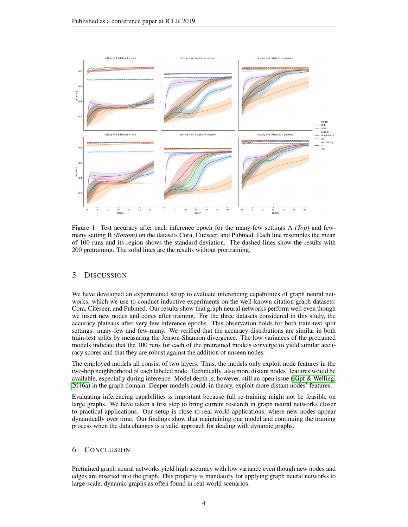

<span id="page-3-1"></span>Figure 1: Test accuracy after each inference epoch for the many-few settings A *(Top)* and fewmany setting B *(Bottom)* on the datasets Cora, Citeseer, and Pubmed. Each line resembles the mean of 100 runs and its region shows the standard deviation. The dashed lines show the results with 200 pretraining. The solid lines are the results without prertraining.

# <span id="page-3-0"></span>5 DISCUSSION

We have developed an experimental setup to evaluate inferencing capabilities of graph neural networks, which we use to conduct inductive experiments on the well-known citation graph datasets: Cora, Citeseer, and Pubmed. Our results show that graph neural networks perform well even though we insert new nodes and edges after training. For the three datasets considered in this study, the accuracy plateaus after very few inference epochs. This observation holds for both train-test split settings: many-few and few-many. We verified that the accuracy distributions are similar in both train-test splits by measuring the Jenson-Shannon divergence. The low variances of the pretrained models indicate that the 100 runs for each of the pretrained models converge to yield similar accuracy scores and that they are robust against the addition of unseen nodes.

The employed models all consist of two layers. Thus, the models only exploit node features in the two-hop neighborhood of each labeled node. Technically, also more distant nodes' features would be available, especially during inference. Model depth is, however, still an open issue [\(Kipf & Welling,](#page-4-6) [2016a\)](#page-4-6) in the graph domain. Deeper models could, in theory, exploit more distant nodes' features.

Evaluating inferencing capabilities is important because full re-training might not be feasible on large graphs. We have taken a first step to bring current research in graph neural networks closer to practical applications. Our setup is close to real-world applications, where new nodes appear dynamically over time. Our findings show that maintaining one model and continuing the training process when the data changes is a valid approach for dealing with dynamic graphs.

# 6 CONCLUSION

Pretrained graph neural networks yield high accuracy with low variance even though new nodes and edges are inserted into the graph. This property is mandatory for applying graph neural networks to large-scale, dynamic graphs as often found in real-world scenarios.